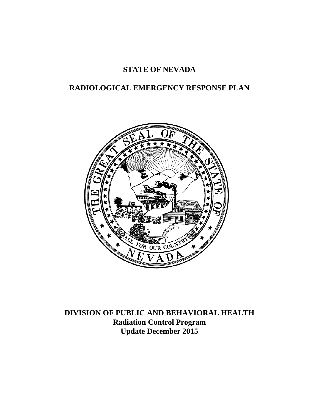# **STATE OF NEVADA**

# **RADIOLOGICAL EMERGENCY RESPONSE PLAN**



**DIVISION OF PUBLIC AND BEHAVIORAL HEALTH Radiation Control Program Update December 2015**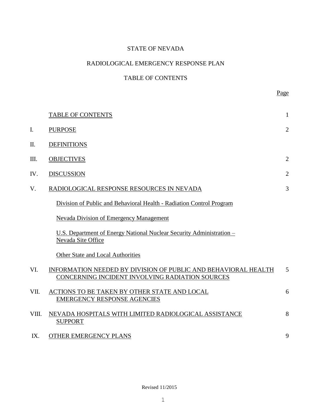## STATE OF NEVADA

## RADIOLOGICAL EMERGENCY RESPONSE PLAN

## TABLE OF CONTENTS

|       | <b>TABLE OF CONTENTS</b>                                                                                          | $\mathbf{1}$   |
|-------|-------------------------------------------------------------------------------------------------------------------|----------------|
| I.    | <b>PURPOSE</b>                                                                                                    | $\overline{2}$ |
| Π.    | <b>DEFINITIONS</b>                                                                                                |                |
| Ш.    | <b>OBJECTIVES</b>                                                                                                 | $\overline{2}$ |
| IV.   | <b>DISCUSSION</b>                                                                                                 | $\overline{2}$ |
| V.    | RADIOLOGICAL RESPONSE RESOURCES IN NEVADA                                                                         | 3              |
|       | Division of Public and Behavioral Health - Radiation Control Program                                              |                |
|       | Nevada Division of Emergency Management                                                                           |                |
|       | U.S. Department of Energy National Nuclear Security Administration –<br>Nevada Site Office                        |                |
|       | <b>Other State and Local Authorities</b>                                                                          |                |
| VI.   | INFORMATION NEEDED BY DIVISION OF PUBLIC AND BEHAVIORAL HEALTH<br>CONCERNING INCIDENT INVOLVING RADIATION SOURCES | 5              |
| VII.  | ACTIONS TO BE TAKEN BY OTHER STATE AND LOCAL<br><b>EMERGENCY RESPONSE AGENCIES</b>                                | 6              |
| VIII. | NEVADA HOSPITALS WITH LIMITED RADIOLOGICAL ASSISTANCE<br><b>SUPPORT</b>                                           | 8              |
| IX.   | OTHER EMERGENCY PLANS                                                                                             | 9              |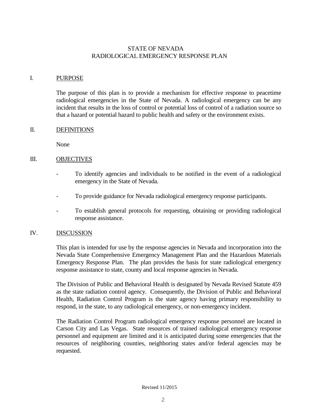## STATE OF NEVADA RADIOLOGICAL EMERGENCY RESPONSE PLAN

## I. PURPOSE

The purpose of this plan is to provide a mechanism for effective response to peacetime radiological emergencies in the State of Nevada. A radiological emergency can be any incident that results in the loss of control or potential loss of control of a radiation source so that a hazard or potential hazard to public health and safety or the environment exists.

## II. DEFINITIONS

None

## III. OBJECTIVES

- To identify agencies and individuals to be notified in the event of a radiological emergency in the State of Nevada.
- To provide guidance for Nevada radiological emergency response participants.
- To establish general protocols for requesting, obtaining or providing radiological response assistance.

## IV. DISCUSSION

This plan is intended for use by the response agencies in Nevada and incorporation into the Nevada State Comprehensive Emergency Management Plan and the Hazardous Materials Emergency Response Plan. The plan provides the basis for state radiological emergency response assistance to state, county and local response agencies in Nevada.

The Division of Public and Behavioral Health is designated by Nevada Revised Statute 459 as the state radiation control agency. Consequently, the Division of Public and Behavioral Health, Radiation Control Program is the state agency having primary responsibility to respond, in the state, to any radiological emergency, or non-emergency incident.

The Radiation Control Program radiological emergency response personnel are located in Carson City and Las Vegas. State resources of trained radiological emergency response personnel and equipment are limited and it is anticipated during some emergencies that the resources of neighboring counties, neighboring states and/or federal agencies may be requested.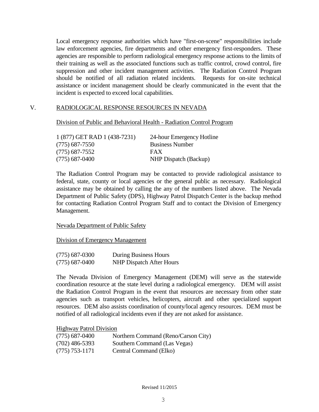Local emergency response authorities which have "first-on-scene" responsibilities include law enforcement agencies, fire departments and other emergency first-responders. These agencies are responsible to perform radiological emergency response actions to the limits of their training as well as the associated functions such as traffic control, crowd control, fire suppression and other incident management activities. The Radiation Control Program should be notified of all radiation related incidents. Requests for on-site technical assistance or incident management should be clearly communicated in the event that the incident is expected to exceed local capabilities.

## V. RADIOLOGICAL RESPONSE RESOURCES IN NEVADA

Division of Public and Behavioral Health - Radiation Control Program

| 1 (877) GET RAD 1 (438-7231) | 24-hour Emergency Hotline |
|------------------------------|---------------------------|
| (775) 687-7550               | <b>Business Number</b>    |
| (775) 687-7552               | <b>FAX</b>                |
| (775) 687-0400               | NHP Dispatch (Backup)     |

The Radiation Control Program may be contacted to provide radiological assistance to federal, state, county or local agencies or the general public as necessary. Radiological assistance may be obtained by calling the any of the numbers listed above. The Nevada Department of Public Safety (DPS), Highway Patrol Dispatch Center is the backup method for contacting Radiation Control Program Staff and to contact the Division of Emergency Management.

### Nevada Department of Public Safety

Division of Emergency Management

| $(775)$ 687-0300 | During Business Hours    |
|------------------|--------------------------|
| $(775)$ 687-0400 | NHP Dispatch After Hours |

The Nevada Division of Emergency Management (DEM) will serve as the statewide coordination resource at the state level during a radiological emergency. DEM will assist the Radiation Control Program in the event that resources are necessary from other state agencies such as transport vehicles, helicopters, aircraft and other specialized support resources. DEM also assists coordination of county/local agency resources. DEM must be notified of all radiological incidents even if they are not asked for assistance.

Highway Patrol Division

| $(775)$ 687-0400 | Northern Command (Reno/Carson City) |
|------------------|-------------------------------------|
| $(702)$ 486-5393 | Southern Command (Las Vegas)        |
| $(775)$ 753-1171 | Central Command (Elko)              |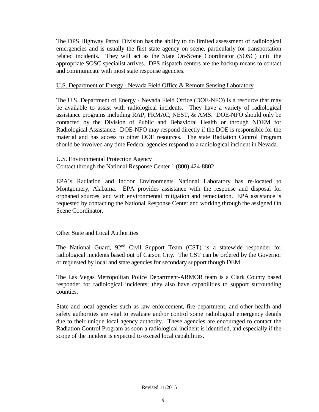The DPS Highway Patrol Division has the ability to do limited assessment of radiological emergencies and is usually the first state agency on scene, particularly for transportation related incidents. They will act as the State On-Scene Coordinator (SOSC) until the appropriate SOSC specialist arrives. DPS dispatch centers are the backup means to contact and communicate with most state response agencies.

## U.S. Department of Energy - Nevada Field Office & Remote Sensing Laboratory

The U.S. Department of Energy - Nevada Field Office (DOE-NFO) is a resource that may be available to assist with radiological incidents. They have a variety of radiological assistance programs including RAP, FRMAC, NEST, & AMS. DOE-NFO should only be contacted by the Division of Public and Behavioral Health or through NDEM for Radiological Assistance. DOE-NFO may respond directly if the DOE is responsible for the material and has access to other DOE resources. The state Radiation Control Program should be involved any time Federal agencies respond to a radiological incident in Nevada.

### U.S. Environmental Protection Agency

Contact through the National Response Center 1 (800) 424-8802

EPA's Radiation and Indoor Environments National Laboratory has re-located to Montgomery, Alabama. EPA provides assistance with the response and disposal for orphaned sources, and with environmental mitigation and remediation. EPA assistance is requested by contacting the National Response Center and working through the assigned On Scene Coordinator.

## Other State and Local Authorities

The National Guard, 92<sup>nd</sup> Civil Support Team (CST) is a statewide responder for radiological incidents based out of Carson City. The CST can be ordered by the Governor or requested by local and state agencies for secondary support though DEM.

The Las Vegas Metropolitan Police Department-ARMOR team is a Clark County based responder for radiological incidents; they also have capabilities to support surrounding counties.

State and local agencies such as law enforcement, fire department, and other health and safety authorities are vital to evaluate and/or control some radiological emergency details due to their unique local agency authority. These agencies are encouraged to contact the Radiation Control Program as soon a radiological incident is identified, and especially if the scope of the incident is expected to exceed local capabilities.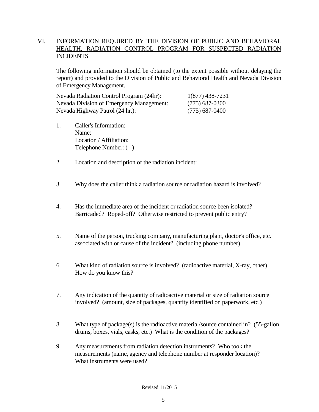## VI. INFORMATION REQUIRED BY THE DIVISION OF PUBLIC AND BEHAVIORAL HEALTH, RADIATION CONTROL PROGRAM FOR SUSPECTED RADIATION INCIDENTS

The following information should be obtained (to the extent possible without delaying the report) and provided to the Division of Public and Behavioral Health and Nevada Division of Emergency Management.

| Nevada Radiation Control Program (24hr): | 1(877) 438-7231  |
|------------------------------------------|------------------|
| Nevada Division of Emergency Management: | $(775)$ 687-0300 |
| Nevada Highway Patrol (24 hr.):          | $(775)$ 687-0400 |

- 1. Caller's Information: Name: Location / Affiliation: Telephone Number: ( )
- 2. Location and description of the radiation incident:
- 3. Why does the caller think a radiation source or radiation hazard is involved?
- 4. Has the immediate area of the incident or radiation source been isolated? Barricaded? Roped-off? Otherwise restricted to prevent public entry?
- 5. Name of the person, trucking company, manufacturing plant, doctor's office, etc. associated with or cause of the incident? (including phone number)
- 6. What kind of radiation source is involved? (radioactive material, X-ray, other) How do you know this?
- 7. Any indication of the quantity of radioactive material or size of radiation source involved? (amount, size of packages, quantity identified on paperwork, etc.)
- 8. What type of package(s) is the radioactive material/source contained in? (55-gallon drums, boxes, vials, casks, etc.) What is the condition of the packages?
- 9. Any measurements from radiation detection instruments? Who took the measurements (name, agency and telephone number at responder location)? What instruments were used?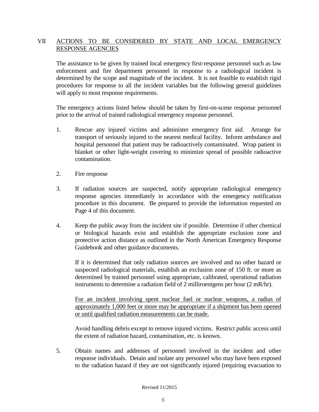## VII ACTIONS TO BE CONSIDERED BY STATE AND LOCAL EMERGENCY RESPONSE AGENCIES

The assistance to be given by trained local emergency first-response personnel such as law enforcement and fire department personnel in response to a radiological incident is determined by the scope and magnitude of the incident. It is not feasible to establish rigid procedures for response to all the incident variables but the following general guidelines will apply to most response requirements.

The emergency actions listed below should be taken by first-on-scene response personnel prior to the arrival of trained radiological emergency response personnel.

- 1. Rescue any injured victims and administer emergency first aid. Arrange for transport of seriously injured to the nearest medical facility. Inform ambulance and hospital personnel that patient may be radioactively contaminated. Wrap patient in blanket or other light-weight covering to minimize spread of possible radioactive contamination.
- 2. Fire response
- 3. If radiation sources are suspected, notify appropriate radiological emergency response agencies immediately in accordance with the emergency notification procedure in this document. Be prepared to provide the information requested on Page 4 of this document.
- 4. Keep the public away from the incident site if possible. Determine if other chemical or biological hazards exist and establish the appropriate exclusion zone and protective action distance as outlined in the North American Emergency Response Guidebook and other guidance documents.

If it is determined that only radiation sources are involved and no other hazard or suspected radiological materials, establish an exclusion zone of 150 ft. or more as determined by trained personnel using appropriate, calibrated, operational radiation instruments to determine a radiation field of 2 milliroentgens per hour (2 mR/hr).

For an incident involving spent nuclear fuel or nuclear weapons, a radius of approximately 1,000 feet or more may be appropriate if a shipment has been opened or until qualified radiation measurements can be made.

Avoid handling debris except to remove injured victims. Restrict public access until the extent of radiation hazard, contamination, etc. is known.

5. Obtain names and addresses of personnel involved in the incident and other response individuals. Detain and isolate any personnel who may have been exposed to the radiation hazard if they are not significantly injured (requiring evacuation to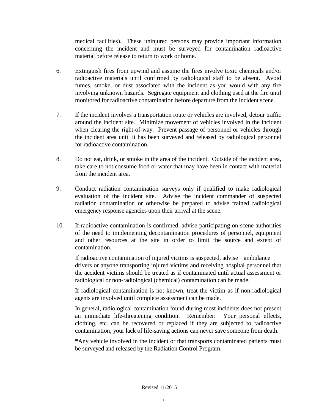medical facilities). These uninjured persons may provide important information concerning the incident and must be surveyed for contamination radioactive material before release to return to work or home.

- 6. Extinguish fires from upwind and assume the fires involve toxic chemicals and/or radioactive materials until confirmed by radiological staff to be absent. Avoid fumes, smoke, or dust associated with the incident as you would with any fire involving unknown hazards. Segregate equipment and clothing used at the fire until monitored for radioactive contamination before departure from the incident scene.
- 7. If the incident involves a transportation route or vehicles are involved, detour traffic around the incident site. Minimize movement of vehicles involved in the incident when clearing the right-of-way. Prevent passage of personnel or vehicles through the incident area until it has been surveyed and released by radiological personnel for radioactive contamination.
- 8. Do not eat, drink, or smoke in the area of the incident. Outside of the incident area, take care to not consume food or water that may have been in contact with material from the incident area.
- 9. Conduct radiation contamination surveys only if qualified to make radiological evaluation of the incident site. Advise the incident commander of suspected radiation contamination or otherwise be prepared to advise trained radiological emergency response agencies upon their arrival at the scene.
- 10. If radioactive contamination is confirmed, advise participating on-scene authorities of the need to implementing decontamination procedures of personnel, equipment and other resources at the site in order to limit the source and extent of contamination.

If radioactive contamination of injured victims is suspected, advise ambulance drivers or anyone transporting injured victims and receiving hospital personnel that the accident victims should be treated as if contaminated until actual assessment or radiological or non-radiological (chemical) contamination can be made.

If radiological contamination is not known, treat the victim as if non-radiological agents are involved until complete assessment can be made.

In general, radiological contamination found during most incidents does not present an immediate life-threatening condition. Remember: Your personal effects, clothing, etc. can be recovered or replaced if they are subjected to radioactive contamination; your lack of life-saving actions can never save someone from death.

**\***Any vehicle involved in the incident or that transports contaminated patients must be surveyed and released by the Radiation Control Program.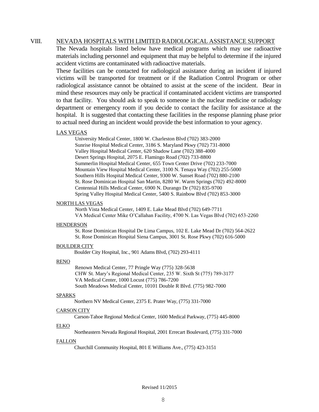### VIII. NEVADA HOSPITALS WITH LIMITED RADIOLOGICAL ASSISTANCE SUPPORT

The Nevada hospitals listed below have medical programs which may use radioactive materials including personnel and equipment that may be helpful to determine if the injured accident victims are contaminated with radioactive materials.

These facilities can be contacted for radiological assistance during an incident if injured victims will be transported for treatment or if the Radiation Control Program or other radiological assistance cannot be obtained to assist at the scene of the incident. Bear in mind these resources may only be practical if contaminated accident victims are transported to that facility. You should ask to speak to someone in the nuclear medicine or radiology department or emergency room if you decide to contact the facility for assistance at the hospital. It is suggested that contacting these facilities in the response planning phase prior to actual need during an incident would provide the best information to your agency.

#### LAS VEGAS

University Medical Center, 1800 W. Charleston Blvd (702) 383-2000 Sunrise Hospital Medical Center, 3186 S. Maryland Pkwy (702) 731-8000 Valley Hospital Medical Center, 620 Shadow Lane (702) 388-4000 Desert Springs Hospital, 2075 E. Flamingo Road (702) 733-8800 Summerlin Hospital Medical Center, 655 Town Center Drive (702) 233-7000 Mountain View Hospital Medical Center, 3100 N. Tenaya Way (702) 255-5000 Southern Hills Hospital Medical Center, 9300 W. Sunset Road (702) 880-2100 St. Rose Dominican Hospital San Martin, 8280 W. Warm Springs (702) 492-8000 Centennial Hills Medical Center, 6900 N. Durango Dr (702) 835-9700 Spring Valley Hospital Medical Center, 5400 S. Rainbow Blvd (702) 853-3000

### NORTH LAS VEGAS

North Vista Medical Center, 1409 E. Lake Mead Blvd (702) 649-7711 VA Medical Center Mike O'Callahan Facility, 4700 N. Las Vegas Blvd (702) 653-2260

#### **HENDERSON**

St. Rose Dominican Hospital De Lima Campus, 102 E. Lake Mead Dr (702) 564-2622 St. Rose Dominican Hospital Siena Campus, 3001 St. Rose Pkwy (702) 616-5000

#### BOULDER CITY

Boulder City Hospital, Inc., 901 Adams Blvd, (702) 293-4111

#### RENO

Renown Medical Center, 77 Pringle Way (775) 328-5638 CHW St. Mary's Regional Medical Center, 235 W. Sixth St (775) 789-3177 VA Medical Center, 1000 Locust (775) 786-7200 South Meadows Medical Center, 10101 Double R Blvd. (775) 982-7000

#### SPARKS

Northern NV Medical Center, 2375 E. Prater Way, (775) 331-7000

#### CARSON CITY

Carson-Tahoe Regional Medical Center, 1600 Medical Parkway, (775) 445-8000

#### ELKO

Northeastern Nevada Regional Hospital, 2001 Errecart Boulevard, (775) 331-7000

### FALLON

Churchill Community Hospital, 801 E Williams Ave., (775) 423-3151